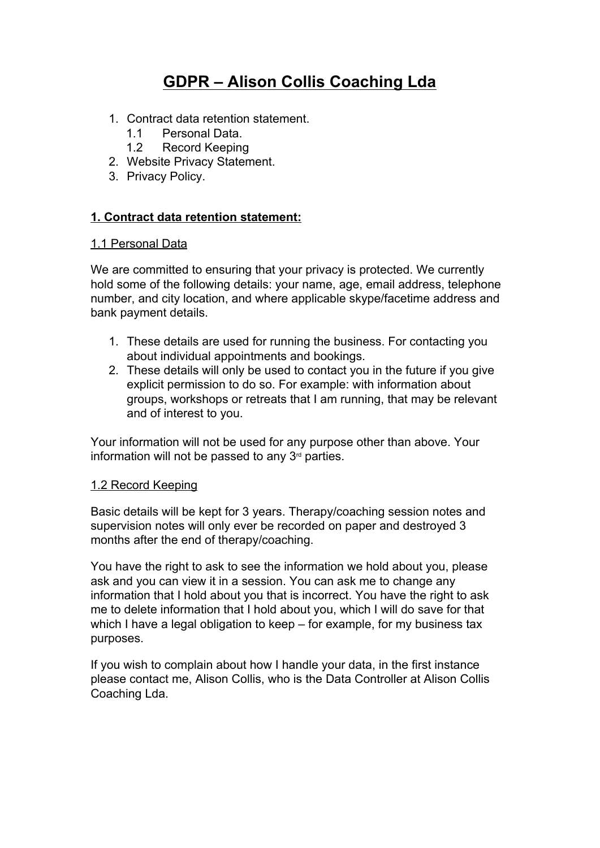# **GDPR – Alison Collis Coaching Lda**

- 1. Contract data retention statement.
	- 1.1 Personal Data.
	- 1.2 Record Keeping
- 2. Website Privacy Statement.
- 3. Privacy Policy.

## **1. Contract data retention statement:**

### 1.1 Personal Data

We are committed to ensuring that your privacy is protected. We currently hold some of the following details: your name, age, email address, telephone number, and city location, and where applicable skype/facetime address and bank payment details.

- 1. These details are used for running the business. For contacting you about individual appointments and bookings.
- 2. These details will only be used to contact you in the future if you give explicit permission to do so. For example: with information about groups, workshops or retreats that I am running, that may be relevant and of interest to you.

Your information will not be used for any purpose other than above. Your information will not be passed to any  $3<sup>rd</sup>$  parties.

## 1.2 Record Keeping

Basic details will be kept for 3 years. Therapy/coaching session notes and supervision notes will only ever be recorded on paper and destroyed 3 months after the end of therapy/coaching.

You have the right to ask to see the information we hold about you, please ask and you can view it in a session. You can ask me to change any information that I hold about you that is incorrect. You have the right to ask me to delete information that I hold about you, which I will do save for that which I have a legal obligation to keep – for example, for my business tax purposes.

If you wish to complain about how I handle your data, in the first instance please contact me, Alison Collis, who is the Data Controller at Alison Collis Coaching Lda.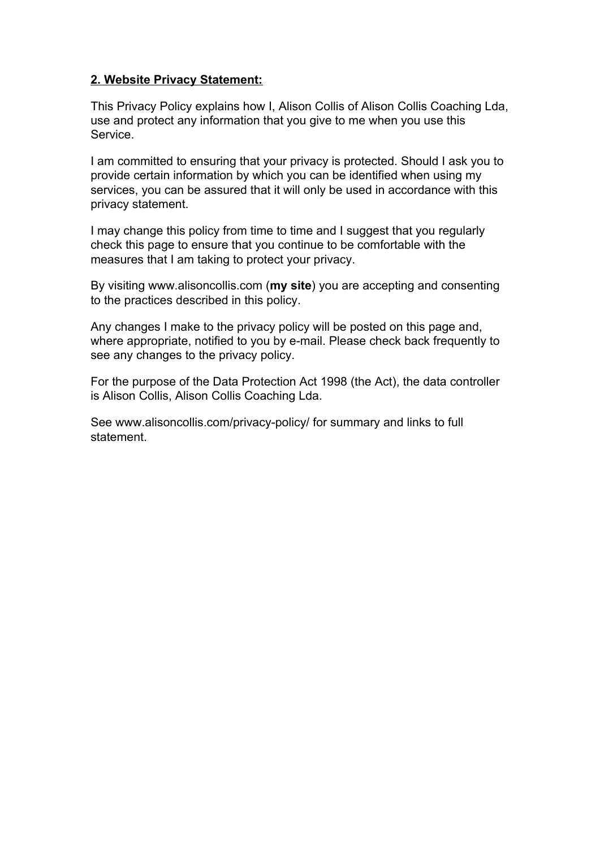# **2. Website Privacy Statement:**

This Privacy Policy explains how I, Alison Collis of Alison Collis Coaching Lda, use and protect any information that you give to me when you use this Service.

I am committed to ensuring that your privacy is protected. Should I ask you to provide certain information by which you can be identified when using my services, you can be assured that it will only be used in accordance with this privacy statement.

I may change this policy from time to time and I suggest that you regularly check this page to ensure that you continue to be comfortable with the measures that I am taking to protect your privacy.

By visiting www.alisoncollis.com (**my site**) you are accepting and consenting to the practices described in this policy.

Any changes I make to the privacy policy will be posted on this page and, where appropriate, notified to you by e-mail. Please check back frequently to see any changes to the privacy policy.

For the purpose of the Data Protection Act 1998 (the Act), the data controller is Alison Collis, Alison Collis Coaching Lda.

See www.alisoncollis.com/privacy-policy/ for summary and links to full statement.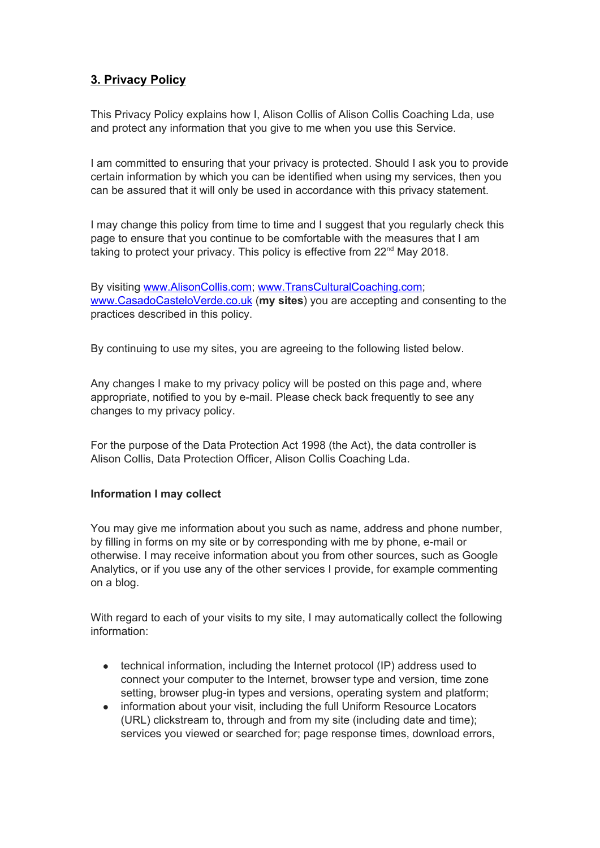# **3. Privacy Policy**

This Privacy Policy explains how I, Alison Collis of Alison Collis Coaching Lda, use and protect any information that you give to me when you use this Service.

I am committed to ensuring that your privacy is protected. Should I ask you to provide certain information by which you can be identified when using my services, then you can be assured that it will only be used in accordance with this privacy statement.

I may change this policy from time to time and I suggest that you regularly check this page to ensure that you continue to be comfortable with the measures that I am taking to protect your privacy. This policy is effective from 22<sup>nd</sup> May 2018.

By visiting [www.AlisonCollis.com](http://www.alisoncollis.com/); [www.TransCulturalCoaching.com;](http://www.transculturalcoaching.com/) [www.CasadoCasteloVerde.co.uk](http://www.casadocasteloverde.co.uk/) (**my sites**) you are accepting and consenting to the practices described in this policy.

By continuing to use my sites, you are agreeing to the following listed below.

Any changes I make to my privacy policy will be posted on this page and, where appropriate, notified to you by e-mail. Please check back frequently to see any changes to my privacy policy.

For the purpose of the Data Protection Act 1998 (the Act), the data controller is Alison Collis, Data Protection Officer, Alison Collis Coaching Lda.

## **Information I may collect**

You may give me information about you such as name, address and phone number, by filling in forms on my site or by corresponding with me by phone, e-mail or otherwise. I may receive information about you from other sources, such as Google Analytics, or if you use any of the other services I provide, for example commenting on a blog.

With regard to each of your visits to my site, I may automatically collect the following information:

- technical information, including the Internet protocol (IP) address used to connect your computer to the Internet, browser type and version, time zone setting, browser plug-in types and versions, operating system and platform;
- information about your visit, including the full Uniform Resource Locators (URL) clickstream to, through and from my site (including date and time); services you viewed or searched for; page response times, download errors,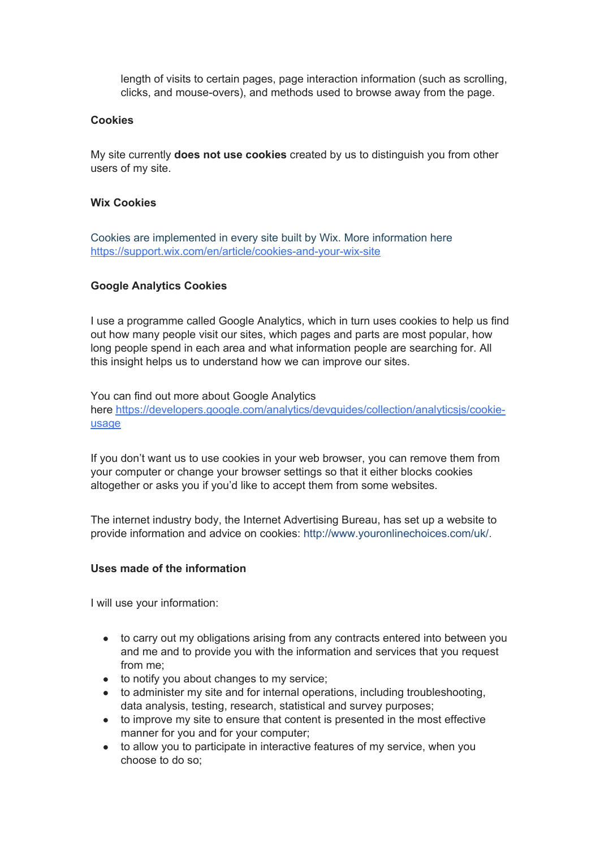length of visits to certain pages, page interaction information (such as scrolling, clicks, and mouse-overs), and methods used to browse away from the page.

#### **Cookies**

My site currently **does not use cookies** created by us to distinguish you from other users of my site.

#### **Wix Cookies**

Cookies are implemented in every site built by Wix. More information here <https://support.wix.com/en/article/cookies-and-your-wix-site>

#### **Google Analytics Cookies**

I use a programme called Google Analytics, which in turn uses cookies to help us find out how many people visit our sites, which pages and parts are most popular, how long people spend in each area and what information people are searching for. All this insight helps us to understand how we can improve our sites.

You can find out more about Google Analytics here https://developers.google.com/analytics/devguides/collection/analyticsis/cookie[usage](https://developers.google.com/analytics/devguides/collection/analyticsjs/cookie-usage)

If you don't want us to use cookies in your web browser, you can remove them from your computer or change your browser settings so that it either blocks cookies altogether or asks you if you'd like to accept them from some websites.

The internet industry body, the Internet Advertising Bureau, has set up a website to provide information and advice on cookies: [http://www.youronlinechoices.com/uk/.](http://www.youronlinechoices.com/uk/)

#### **Uses made of the information**

I will use your information:

- to carry out my obligations arising from any contracts entered into between you and me and to provide you with the information and services that you request from me;
- to notify you about changes to my service;
- to administer my site and for internal operations, including troubleshooting, data analysis, testing, research, statistical and survey purposes;
- to improve my site to ensure that content is presented in the most effective manner for you and for your computer;
- to allow you to participate in interactive features of my service, when you choose to do so;